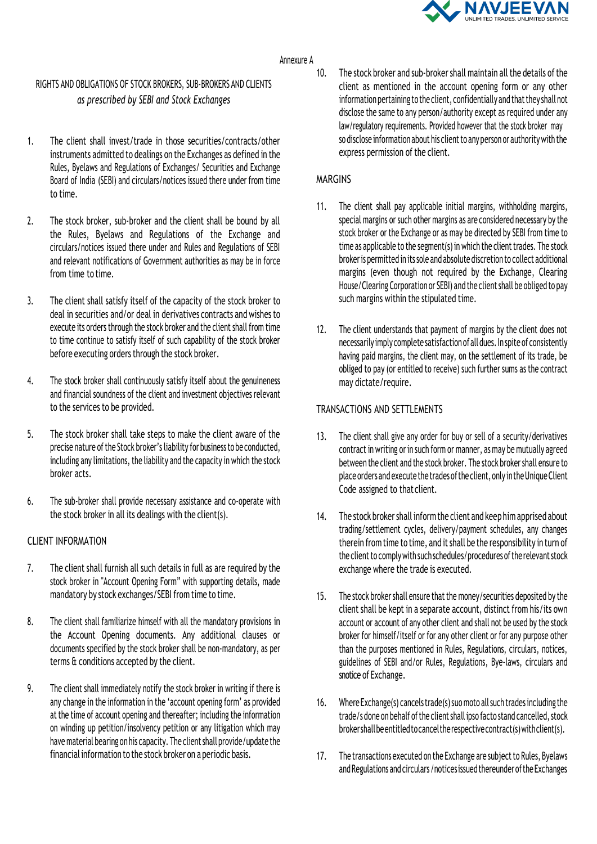

#### Annexure A

# RIGHTS AND OBLIGATIONS OF STOCK BROKERS, SUB-BROKERS AND CLIENTS *as prescribed by SEBI and Stock Exchanges*

- 1. The client shall invest/trade in those securities/contracts/other instruments admitted to dealings on the Exchanges as defined in the Rules, Byelaws and Regulations of Exchanges/ Securities and Exchange Board of India (SEBI) and circulars/notices issued there under from time to time.
- 2. The stock broker, sub-broker and the client shall be bound by all the Rules, Byelaws and Regulations of the Exchange and circulars/notices issued there under and Rules and Regulations of SEBI and relevant notifications of Government authorities as may be in force from time to time.
- 3. The client shall satisfy itself of the capacity of the stock broker to deal in securities and/or deal in derivatives contracts and wishes to execute its orders through the stock broker and the client shall from time to time continue to satisfy itself of such capability of the stock broker before executing orders through the stock broker.
- 4. The stock broker shall continuously satisfy itself about the genuineness and financial soundness of the client and investment objectives relevant to the services to be provided.
- 5. The stock broker shall take steps to make the client aware of the precise nature of the Stock broker's liability for business to be conducted, including any limitations, the liability and the capacity in which the stock broker acts.
- 6. The sub-broker shall provide necessary assistance and co-operate with the stock broker in all its dealings with the client(s).

#### CLIENT INFORMATION

- 7. The client shall furnish all such details in full as are required by the stock broker in "Account Opening Form" with supporting details, made mandatory by stock exchanges/SEBI from time to time.
- 8. The client shall familiarize himself with all the mandatory provisions in the Account Opening documents. Any additional clauses or documents specified by the stock broker shall be non-mandatory, as per terms & conditions accepted by the client.
- 9. The client shall immediately notify the stock broker in writing if there is any change in the information in the 'account opening form' as provided at the time of account opening and thereafter; including the information on winding up petition/insolvency petition or any litigation which may have material bearing on his capacity. The client shall provide/update the financial information to the stock broker on a periodic basis.

10. The stock broker and sub-broker shall maintain all the details of the client as mentioned in the account opening form or any other information pertaining to the client, confidentially and that they shall not disclose the same to any person/authority except as required under any law/regulatory requirements. Provided however that the stock broker may so disclose information about his client to any person or authority with the express permission of the client.

### MARGINS

- 11. The client shall pay applicable initial margins, withholding margins, special margins or such other margins as are considered necessary by the stock broker or the Exchange or as may be directed by SEBI from time to time as applicable to the segment(s) in which the client trades. The stock brokeris permitted in its sole and absolute discretion to collect additional margins (even though not required by the Exchange, Clearing House/Clearing Corporation or SEBI) and the client shall be obliged to pay such margins within the stipulated time.
- 12. The client understands that payment of margins by the client does not necessarily imply complete satisfaction of all dues. In spite of consistently having paid margins, the client may, on the settlement of its trade, be obliged to pay (or entitled to receive) such further sums as the contract may dictate/require.

#### TRANSACTIONS AND SETTLEMENTS

- 13. The client shall give any order for buy or sell of a security/derivatives contract in writing or in such form or manner, as may be mutually agreed between the client and the stock broker. The stock broker shall ensure to place orders and execute the trades of the client, only in the Unique Client Code assigned to that client.
- 14. The stock broker shall inform the client and keep him apprised about trading/settlement cycles, delivery/payment schedules, any changes therein from time to time, and it shall be the responsibility in turn of the client to comply with such schedules/procedures of the relevant stock exchange where the trade is executed.
- 15. The stock broker shall ensure that the money/securities deposited by the client shall be kept in a separate account, distinct from his/its own account or account of any other client and shall not be used by the stock broker for himself/itself or for any other client or for any purpose other than the purposes mentioned in Rules, Regulations, circulars, notices, guidelines of SEBI and/or Rules, Regulations, Bye-laws, circulars and snotice of Exchange.
- 16. Where Exchange(s) cancels trade(s) suo moto all such trades including the trade/s done on behalf of the client shall ipso facto stand cancelled, stock brokershallbeentitledtocanceltherespectivecontract(s)withclient(s).
- 17. The transactions executed on the Exchange are subject to Rules, Byelaws and Regulations and circulars / notices issued thereunder of the Exchanges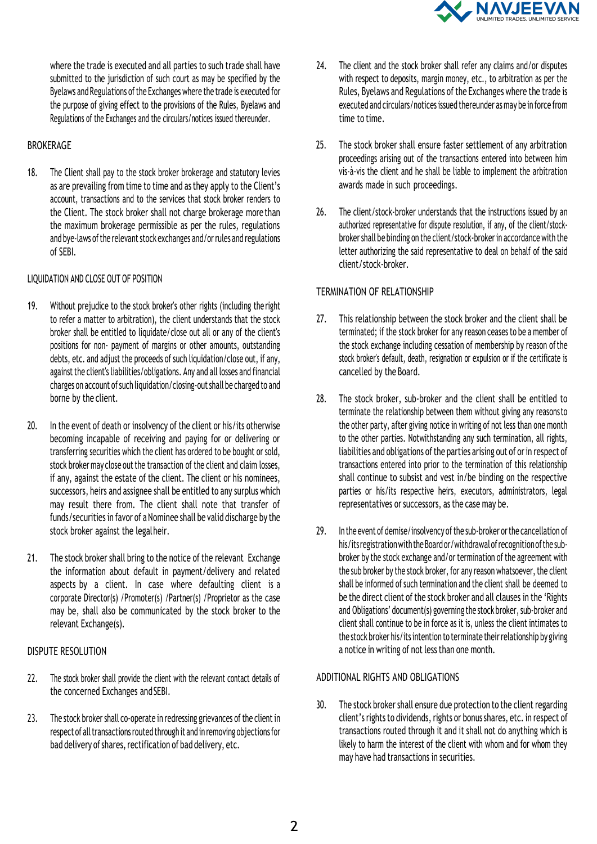

where the trade is executed and all parties to such trade shall have submitted to the jurisdiction of such court as may be specified by the Byelaws and Regulations of the Exchanges where the trade is executed for the purpose of giving effect to the provisions of the Rules, Byelaws and Regulations of the Exchanges and the circulars/notices issued thereunder.

#### BROKERAGE

18. The Client shall pay to the stock broker brokerage and statutory levies as are prevailing from time to time and as they apply to the Client's account, transactions and to the services that stock broker renders to the Client. The stock broker shall not charge brokerage more than the maximum brokerage permissible as per the rules, regulations and bye-laws of the relevant stock exchanges and/or rules and regulations of SEBI.

#### LIQUIDATION AND CLOSE OUT OF POSITION

- 19. Without prejudice to the stock broker's other rights (including the right to refer a matter to arbitration), the client understands that the stock broker shall be entitled to liquidate/close out all or any of the client's positions for non- payment of margins or other amounts, outstanding debts, etc. and adjust the proceeds of such liquidation/close out, if any, against the client's liabilities/obligations. Any and all losses and financial charges on account of such liquidation/closing-out shall be charged to and borne by the client.
- 20. In the event of death or insolvency of the client or his/its otherwise becoming incapable of receiving and paying for or delivering or transferring securities which the client has ordered to be bought or sold, stock broker may close out the transaction of the client and claim losses, if any, against the estate of the client. The client or his nominees, successors, heirs and assignee shall be entitled to any surplus which may result there from. The client shall note that transfer of funds/securities in favor of a Nominee shall be valid discharge by the stock broker against the legalheir.
- 21. The stock broker shall bring to the notice of the relevant Exchange the information about default in payment/delivery and related aspects by a client. In case where defaulting client is a corporate Director(s) /Promoter(s) /Partner(s) /Proprietor as the case may be, shall also be communicated by the stock broker to the relevant Exchange(s).

#### DISPUTE RESOLUTION

- 22. The stock broker shall provide the client with the relevant contact details of the concerned Exchanges andSEBI.
- 23. The stock broker shall co-operate in redressing grievances of the client in respect of all transactions routed through it and in removing objections for bad delivery of shares, rectification of bad delivery, etc.
- 24. The client and the stock broker shall refer any claims and/or disputes with respect to deposits, margin money, etc., to arbitration as per the Rules, Byelaws and Regulations of the Exchanges where the trade is executed and circulars/notices issued thereunder as may be in force from time to time.
- 25. The stock broker shall ensure faster settlement of any arbitration proceedings arising out of the transactions entered into between him vis-à-vis the client and he shall be liable to implement the arbitration awards made in such proceedings.
- 26. The client/stock-broker understands that the instructions issued by an authorized representative for dispute resolution, if any, of the client/stockbroker shall be binding on the client/stock-brokerin accordance with the letter authorizing the said representative to deal on behalf of the said client/stock-broker.

## TERMINATION OF RELATIONSHIP

- 27. This relationship between the stock broker and the client shall be terminated; if the stock broker for any reason ceases to be a member of the stock exchange including cessation of membership by reason ofthe stock broker's default, death, resignation or expulsion or if the certificate is cancelled by the Board.
- 28. The stock broker, sub-broker and the client shall be entitled to terminate the relationship between them without giving any reasons to the other party, after giving notice in writing of not less than one month to the other parties. Notwithstanding any such termination, all rights, liabilities and obligations of the parties arising out of or in respect of transactions entered into prior to the termination of this relationship shall continue to subsist and vest in/be binding on the respective parties or his/its respective heirs, executors, administrators, legal representatives or successors, as the case may be.
- 29. In the event of demise/insolvency of the sub-broker or the cancellation of his/its registration with the Board or/withdrawal of recognition of the subbroker by the stock exchange and/or termination of the agreement with the sub broker by the stock broker, for any reason whatsoever, the client shall be informed of such termination and the client shall be deemed to be the direct client of the stock broker and all clauses in the 'Rights and Obligations' document(s) governing the stock broker, sub-broker and client shall continue to be in force as it is, unless the client intimates to the stock broker his/its intention to terminate their relationship by giving a notice in writing of not less than one month.

#### ADDITIONAL RIGHTS AND OBLIGATIONS

30. The stock broker shall ensure due protection to the client regarding client's rights to dividends, rights or bonus shares, etc. in respect of transactions routed through it and it shall not do anything which is likely to harm the interest of the client with whom and for whom they may have had transactions in securities.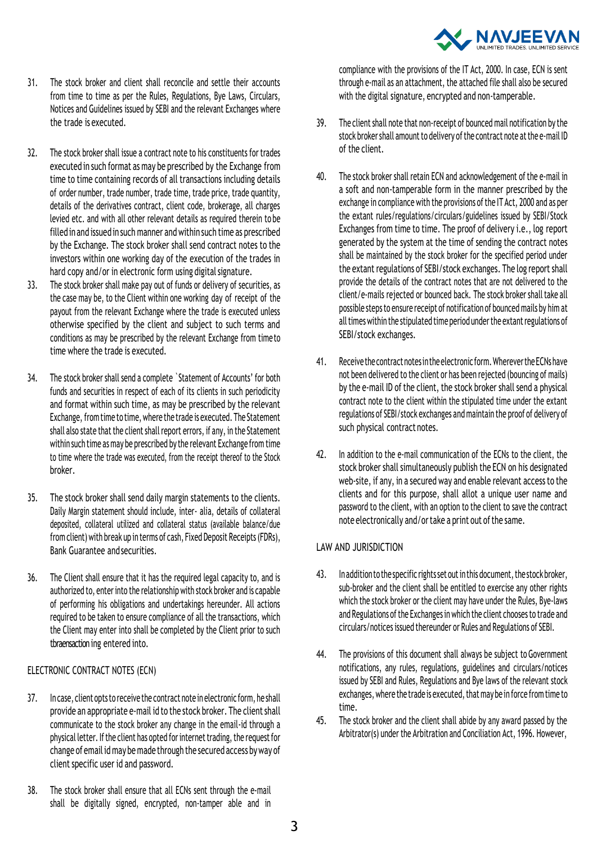

- 31. The stock broker and client shall reconcile and settle their accounts from time to time as per the Rules, Regulations, Bye Laws, Circulars, Notices and Guidelines issued by SEBI and the relevant Exchanges where the trade is executed.
- 32. The stock broker shall issue a contract note to his constituents for trades executed in such format as may be prescribed by the Exchange from time to time containing records of all transactions including details of order number, trade number, trade time, trade price, trade quantity, details of the derivatives contract, client code, brokerage, all charges levied etc. and with all other relevant details as required therein to be filled in and issued in such manner and within such time as prescribed by the Exchange. The stock broker shall send contract notes to the investors within one working day of the execution of the trades in hard copy and/or in electronic form using digital signature.
- 33. The stock broker shall make pay out of funds or delivery of securities, as the case may be, to the Client within one working day of receipt of the payout from the relevant Exchange where the trade is executed unless otherwise specified by the client and subject to such terms and conditions as may be prescribed by the relevant Exchange from timeto time where the trade is executed.
- 34. The stock broker shall send a complete `Statement of Accounts' for both funds and securities in respect of each of its clients in such periodicity and format within such time, as may be prescribed by the relevant Exchange, from time to time, where the trade is executed. The Statement shall also state that the client shall report errors, if any, in the Statement within such time as may be prescribed by the relevant Exchange from time to time where the trade was executed, from the receipt thereof to the Stock broker.
- 35. The stock broker shall send daily margin statements to the clients. Daily Margin statement should include, inter- alia, details of collateral deposited, collateral utilized and collateral status (available balance/due from client) with break up in terms of cash, Fixed Deposit Receipts (FDRs), Bank Guarantee andsecurities.
- 36. The Client shall ensure that it has the required legal capacity to, and is authorized to, enterinto the relationship with stock broker and is capable of performing his obligations and undertakings hereunder. All actions required to be taken to ensure compliance of all the transactions, which the Client may enter into shall be completed by the Client prior to such tbraensaction ing entered into.

#### ELECTRONIC CONTRACT NOTES (ECN)

- 37. In case, client opts to receive the contract note in electronic form, he shall provide an appropriate e-mail id to the stock broker. The client shall communicate to the stock broker any change in the email-id through a physical letter. If the client has opted for internet trading, the request for change of email id may be made through the secured access byway of client specific user id and password.
- 38. The stock broker shall ensure that all ECNs sent through the e-mail shall be digitally signed, encrypted, non-tamper able and in

compliance with the provisions of the IT Act, 2000. In case, ECN is sent through e-mail as an attachment, the attached file shall also be secured with the digital signature, encrypted and non-tamperable.

- 39. The client shall note that non-receipt of bounced mail notification by the stock broker shall amount to delivery of the contract note at the e-mail ID of the client.
- 40. The stock broker shall retain ECN and acknowledgement of the e-mail in a soft and non-tamperable form in the manner prescribed by the exchange in compliance with the provisions of the IT Act, 2000 and as per the extant rules/regulations/circulars/guidelines issued by SEBI/Stock Exchanges from time to time. The proof of delivery i.e., log report generated by the system at the time of sending the contract notes shall be maintained by the stock broker for the specified period under the extant regulations of SEBI/stock exchanges. The log report shall provide the details of the contract notes that are not delivered to the client/e-mails rejected or bounced back. The stock broker shall take all possible steps to ensure receipt of notification of bounced mails by him at all times within the stipulated time period under the extant regulations of SEBI/stock exchanges.
- 41. Receivethecontractnotes intheelectronic form.WherevertheECNshave not been delivered to the client or has been rejected (bouncing of mails) by the e-mail ID of the client, the stock broker shall send a physical contract note to the client within the stipulated time under the extant regulations of SEBI/stock exchanges and maintain the proof of delivery of such physical contract notes.
- 42. In addition to the e-mail communication of the ECNs to the client, the stock broker shall simultaneously publish the ECN on his designated web-site, if any, in a secured way and enable relevant access to the clients and for this purpose, shall allot a unique user name and password to the client, with an option to the client to save the contract note electronically and/or take a print out of the same.

#### LAW AND JURISDICTION

- 43. Inaddition to the specific rights set out in this document, the stock broker, sub-broker and the client shall be entitled to exercise any other rights which the stock broker or the client may have under the Rules, Bye-laws and Regulations of the Exchanges in which the client chooses to trade and circulars/notices issued thereunder or Rules and Regulations of SEBI.
- 44. The provisions of this document shall always be subject to Government notifications, any rules, regulations, guidelines and circulars/notices issued by SEBI and Rules, Regulations and Bye laws of the relevant stock exchanges, where the trade is executed, that may be in force from time to time.
- 45. The stock broker and the client shall abide by any award passed by the Arbitrator(s) under the Arbitration and Conciliation Act, 1996. However,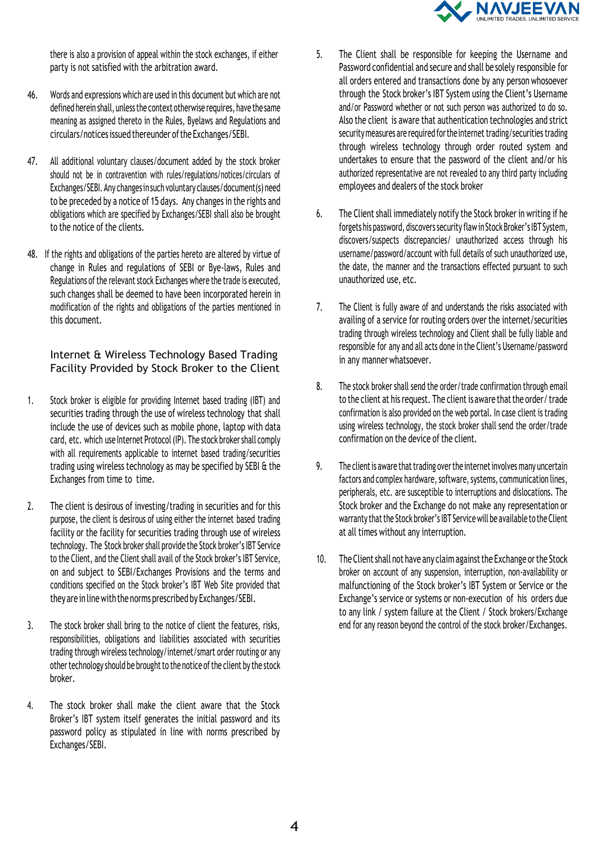

there is also a provision of appeal within the stock exchanges, if either party is not satisfied with the arbitration award.

- 46. Words and expressions which are used in this document but which are not defined herein shall, unless the context otherwise requires, have the same meaning as assigned thereto in the Rules, Byelaws and Regulations and circulars/notices issued thereunder ofthe Exchanges/SEBI.
- 47. All additional voluntary clauses/document added by the stock broker should not be in contravention with rules/regulations/notices/circulars of Exchanges/SEBI.Any changes insuch voluntary clauses/document(s) need to be preceded by a notice of 15 days. Any changes in the rights and obligations which are specified by Exchanges/SEBI shall also be brought to the notice of the clients.
- 48. If the rights and obligations of the parties hereto are altered by virtue of change in Rules and regulations of SEBI or Bye-laws, Rules and Regulations of the relevant stock Exchanges where the trade is executed, such changes shall be deemed to have been incorporated herein in modification of the rights and obligations of the parties mentioned in this document.

### Internet & Wireless Technology Based Trading Facility Provided by Stock Broker to the Client

- 1. Stock broker is eligible for providing Internet based trading (IBT) and securities trading through the use of wireless technology that shall include the use of devices such as mobile phone, laptop with data card, etc. which use Internet Protocol (IP). The stock broker shall comply with all requirements applicable to internet based trading/securities trading using wireless technology as may be specified by SEBI & the Exchanges from time to time.
- 2. The client is desirous of investing/trading in securities and for this purpose, the client is desirous of using either the internet based trading facility or the facility for securities trading through use of wireless technology. The Stock broker shall provide the Stock broker's IBT Service to the Client, and the Client shall avail of the Stock broker's IBT Service, on and subject to SEBI/Exchanges Provisions and the terms and conditions specified on the Stock broker's IBT Web Site provided that they are in line with the norms prescribed by Exchanges/SEBI.
- 3. The stock broker shall bring to the notice of client the features, risks, responsibilities, obligations and liabilities associated with securities trading through wireless technology/internet/smart order routing or any other technology should be brought to the notice of the client by the stock broker.
- 4. The stock broker shall make the client aware that the Stock Broker's IBT system itself generates the initial password and its password policy as stipulated in line with norms prescribed by Exchanges/SEBI.
- 5. The Client shall be responsible for keeping the Username and Password confidential and secure and shall be solely responsible for all orders entered and transactions done by any person whosoever through the Stock broker's IBT System using the Client's Username and/or Password whether or not such person was authorized to do so. Also the client is aware that authentication technologies and strict securitymeasures are required fortheinternet trading/securities trading through wireless technology through order routed system and undertakes to ensure that the password of the client and/or his authorized representative are not revealed to any third party including employees and dealers of the stock broker
- 6. The Client shall immediately notify the Stock broker in writing if he forgets his password, discovers security flaw in Stock Broker's IBT System, discovers/suspects discrepancies/ unauthorized access through his username/password/account with full details of such unauthorized use, the date, the manner and the transactions effected pursuant to such unauthorized use, etc.
- 7. The Client is fully aware of and understands the risks associated with availing of a service for routing orders over the internet/securities trading through wireless technology and Client shall be fully liable and responsible for any and all acts done in the Client's Username/password in any manner whatsoever.
- 8. The stock broker shall send the order/trade confirmation through email to the client at his request. The client is aware that the order/trade confirmation is also provided on the web portal. In case client is trading using wireless technology, the stock broker shall send the order/trade confirmation on the device of the client.
- 9. The client is aware that trading over the internet involves many uncertain factors and complex hardware, software, systems, communication lines, peripherals, etc. are susceptible to interruptions and dislocations. The Stock broker and the Exchange do not make any representation or warranty that the Stock broker's IBT Service will be available to the Client at all times without any interruption.
- 10. The Client shall not have any claim against the Exchange or the Stock broker on account of any suspension, interruption, non-availability or malfunctioning of the Stock broker's IBT System or Service or the Exchange's service or systems or non-execution of his orders due to any link / system failure at the Client / Stock brokers/Exchange end for any reason beyond the control of the stock broker/Exchanges.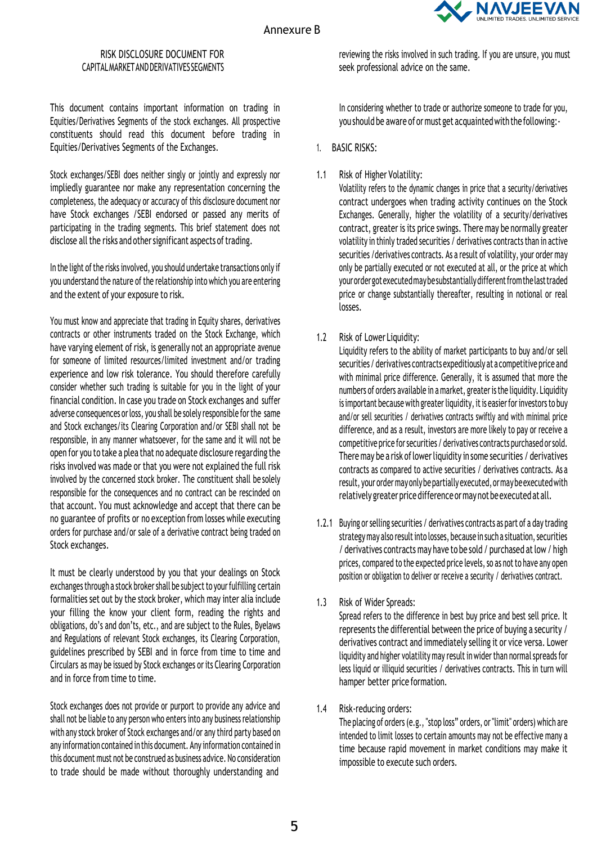

#### RISK DISCLOSURE DOCUMENT FOR CAPITALMARKETANDDERIVATIVESSEGMENTS

This document contains important information on trading in Equities/Derivatives Segments of the stock exchanges. All prospective constituents should read this document before trading in Equities/Derivatives Segments of the Exchanges.

Stock exchanges/SEBI does neither singly or jointly and expressly nor impliedly guarantee nor make any representation concerning the completeness, the adequacy or accuracy of this disclosure document nor have Stock exchanges /SEBI endorsed or passed any merits of participating in the trading segments. This brief statement does not disclose all the risks and other significant aspects of trading.

In the light of the risks involved, you should undertake transactions only if you understand the nature of the relationship into which you are entering and the extent of your exposure to risk.

You must know and appreciate that trading in Equity shares, derivatives contracts or other instruments traded on the Stock Exchange, which have varying element of risk, is generally not an appropriate avenue for someone of limited resources/limited investment and/or trading experience and low risk tolerance. You should therefore carefully consider whether such trading is suitable for you in the light of your financial condition. In case you trade on Stock exchanges and suffer adverse consequences or loss, you shall be solely responsible for the same and Stock exchanges/its Clearing Corporation and/or SEBI shall not be responsible, in any manner whatsoever, for the same and it will not be open for you to take a plea that no adequate disclosure regarding the risks involved was made or that you were not explained the full risk involved by the concerned stock broker. The constituent shall be solely responsible for the consequences and no contract can be rescinded on that account. You must acknowledge and accept that there can be no guarantee of profits or no exception from losses while executing orders for purchase and/or sale of a derivative contract being traded on Stock exchanges.

It must be clearly understood by you that your dealings on Stock exchanges through a stock broker shall be subject to your fulfilling certain formalities set out by the stock broker, which may inter alia include your filling the know your client form, reading the rights and obligations, do's and don'ts, etc., and are subject to the Rules, Byelaws and Regulations of relevant Stock exchanges, its Clearing Corporation, guidelines prescribed by SEBI and in force from time to time and Circulars as may be issued by Stock exchanges or its Clearing Corporation and in force from time to time.

Stock exchanges does not provide or purport to provide any advice and shall not be liable to any person who enters into any business relationship with any stock broker of Stock exchanges and/or any third party based on any information contained in this document. Any information contained in this document must not be construed as business advice. No consideration to trade should be made without thoroughly understanding and

reviewing the risks involved in such trading. If you are unsure, you must seek professional advice on the same.

In considering whether to trade or authorize someone to trade for you, you should be aware of or must get acquainted with the following:-

- 1. BASIC RISKS:
- 1.1 Risk of Higher Volatility:

Volatility refers to the dynamic changes in price that a security/derivatives contract undergoes when trading activity continues on the Stock Exchanges. Generally, higher the volatility of a security/derivatives contract, greater is its price swings. There may be normally greater volatility in thinly traded securities / derivatives contracts than in active securities /derivatives contracts. As a result of volatility, your order may only be partially executed or not executed at all, or the price at which yourordergotexecutedmaybesubstantiallydifferentfromthelasttraded price or change substantially thereafter, resulting in notional or real losses.

1.2 Risk of Lower Liquidity:

Liquidity refers to the ability of market participants to buy and/or sell securities/ derivatives contracts expeditiously at a competitive price and with minimal price difference. Generally, it is assumed that more the numbers of orders available in a market, greateris the liquidity. Liquidity is important because with greater liquidity, it is easier for investors to buy and/or sell securities / derivatives contracts swiftly and with minimal price difference, and as a result, investors are more likely to pay or receive a competitive price for securities / derivatives contracts purchased or sold. There may be a risk of lower liquidity in some securities / derivatives contracts as compared to active securities / derivatives contracts. As a result, your order mayonlybepartiallyexecuted,ormaybeexecutedwith relatively greater price difference or may not be executed at all.

- 1.2.1 Buying or selling securities / derivatives contracts as part of a day trading strategy may also result into losses, because in such a situation, securities / derivatives contracts may have to be sold / purchased atlow / high prices, compared to the expected price levels, so as not to have any open position or obligation to deliver or receive a security / derivatives contract.
- 1.3 Risk of Wider Spreads:

Spread refers to the difference in best buy price and best sell price. It represents the differential between the price of buying a security / derivatives contract and immediately selling it or vice versa. Lower liquidity and higher volatility may result in wider than normal spreads for less liquid or illiquid securities / derivatives contracts. This in turn will hamper better price formation.

1.4 Risk-reducing orders:

The placing of orders (e.g., "stop loss" orders, or "limit" orders) which are intended to limit losses to certain amounts may not be effective many a time because rapid movement in market conditions may make it impossible to execute such orders.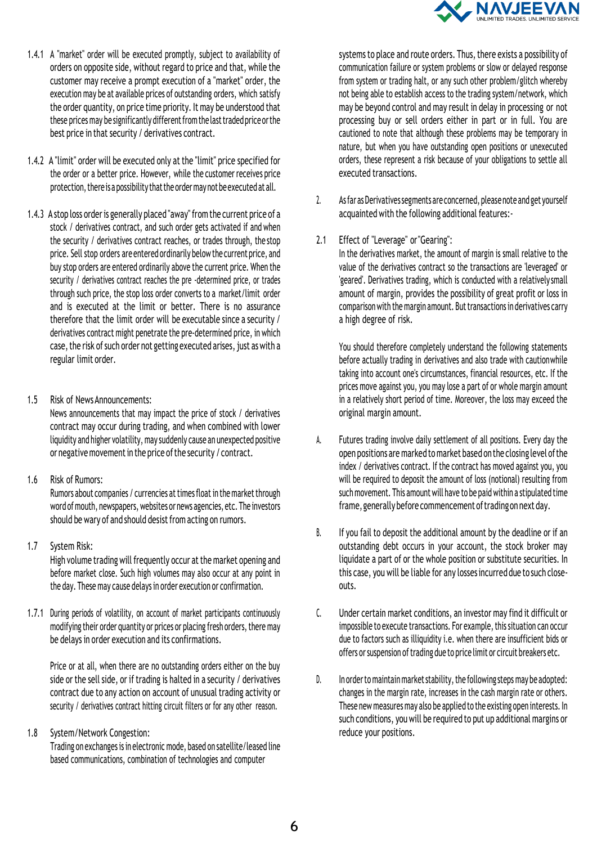

- 1.4.1 A "market" order will be executed promptly, subject to availability of orders on opposite side, without regard to price and that, while the customer may receive a prompt execution of a "market" order, the execution may be at available prices of outstanding orders, which satisfy the order quantity, on price time priority. It may be understood that these prices may be significantly different from the last traded price or the best price in that security / derivatives contract.
- 1.4.2 A "limit" order will be executed only at the "limit" price specified for the order or a better price. However, while the customer receives price protection, there is a possibility that the order may not be executed at all.
- 1.4.3 A stop loss order is generally placed "away" from the current price of a stock / derivatives contract, and such order gets activated if and when the security / derivatives contract reaches, or trades through, the stop price. Sell stop orders are entered ordinarily below the current price, and buy stop orders are entered ordinarily above the current price. When the security / derivatives contract reaches the pre -determined price, or trades through such price, the stop loss order converts to a market/limit order and is executed at the limit or better. There is no assurance therefore that the limit order will be executable since a security / derivatives contract might penetrate the pre-determined price, in which case, the risk of such order not getting executed arises, just as with a regular limit order.
- 1.5 Risk of News Announcements:

News announcements that may impact the price of stock / derivatives contract may occur during trading, and when combined with lower liquidity and higher volatility, may suddenly cause an unexpected positive or negative movement in the price of the security / contract.

1.6 Risk of Rumors:

Rumors about companies / currencies at times float in the market through word of mouth, newspapers, websites or news agencies, etc. The investors should be wary of and should desist from acting on rumors.

- 1.7 System Risk: High volume trading will frequently occur at the market opening and before market close. Such high volumes may also occur at any point in the day. These may cause delays in order execution or confirmation.
- 1.7.1 During periods of volatility, on account of market participants continuously modifying their order quantity or prices or placing fresh orders, there may be delays in order execution and its confirmations.

Price or at all, when there are no outstanding orders either on the buy side or the sell side, or if trading is halted in a security / derivatives contract due to any action on account of unusual trading activity or security / derivatives contract hitting circuit filters or for any other reason.

1.8 System/Network Congestion: Trading on exchanges is in electronic mode, based on satellite/leased line based communications, combination of technologies and computer

systems to place and route orders. Thus, there exists a possibility of communication failure or system problems or slow or delayed response from system or trading halt, or any such other problem/glitch whereby not being able to establish access to the trading system/network, which may be beyond control and may result in delay in processing or not processing buy or sell orders either in part or in full. You are cautioned to note that although these problems may be temporary in nature, but when you have outstanding open positions or unexecuted orders, these represent a risk because of your obligations to settle all executed transactions.

- 2. As far as Derivatives segments are concerned, please note and get yourself acquainted with the following additional features:-
- 2.1 Effect of "Leverage" or"Gearing":

In the derivatives market, the amount of margin is small relative to the value of the derivatives contract so the transactions are 'leveraged' or 'geared'. Derivatives trading, which is conducted with a relatively small amount of margin, provides the possibility of great profit or loss in comparison with the margin amount. But transactions in derivatives carry a high degree of risk.

You should therefore completely understand the following statements before actually trading in derivatives and also trade with cautionwhile taking into account one's circumstances, financial resources, etc. If the prices move against you, you may lose a part of or whole margin amount in a relatively short period of time. Moreover, the loss may exceed the original margin amount.

- A. Futures trading involve daily settlement of all positions. Every day the open positions are marked to market based on the closing level of the index / derivatives contract. If the contract has moved against you, you will be required to deposit the amount of loss (notional) resulting from such movement. This amount will have to be paid within a stipulated time frame, generally before commencement of trading on next day.
- B. If you fail to deposit the additional amount by the deadline or if an outstanding debt occurs in your account, the stock broker may liquidate a part of or the whole position or substitute securities. In this case, you will be liable for any losses incurred due to such closeouts.
- C. Under certain market conditions, an investor may find it difficult or impossible to execute transactions. For example, this situation can occur due to factors such as illiquidity i.e. when there are insufficient bids or offers or suspension of trading due to price limit or circuit breakers etc.
- D. In order to maintain market stability, the following steps may be adopted: changes in the margin rate, increases in the cash margin rate or others. These new measures may also be applied to the existing open interests.In such conditions, you will be required to put up additional margins or reduce your positions.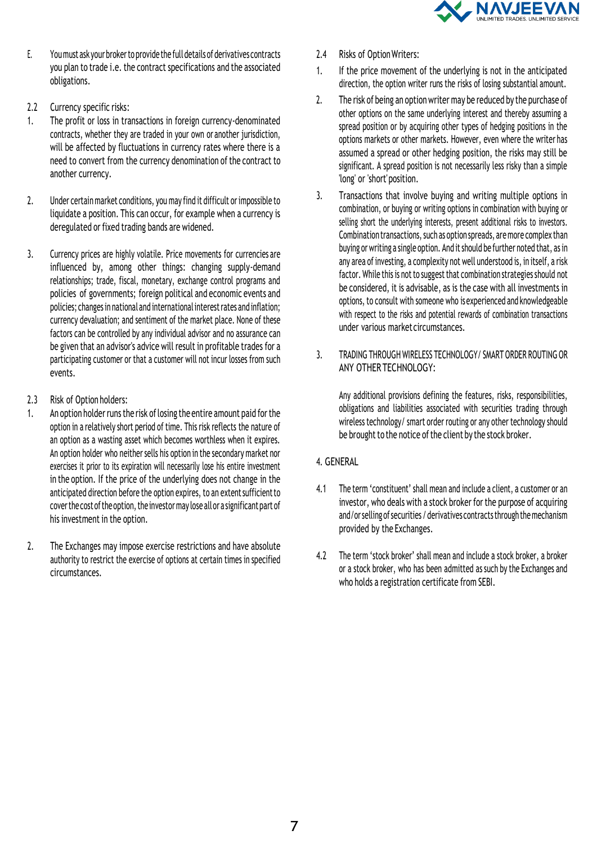

- E. Youmust ask your brokerto provide the fulldetailsof derivatives contracts you plan to trade i.e. the contract specifications and the associated obligations.
- 2.2 Currency specific risks:
- 1. The profit or loss in transactions in foreign currency-denominated contracts, whether they are traded in your own or another jurisdiction, will be affected by fluctuations in currency rates where there is a need to convert from the currency denomination of the contract to another currency.
- 2. Under certain market conditions, you may find it difficult orimpossible to liquidate a position. This can occur, for example when a currency is deregulated or fixed trading bands are widened.
- 3. Currency prices are highly volatile. Price movements for currencies are influenced by, among other things: changing supply-demand relationships; trade, fiscal, monetary, exchange control programs and policies of governments; foreign political and economic events and policies; changes in national and international interestrates and inflation; currency devaluation; and sentiment of the market place. None of these factors can be controlled by any individual advisor and no assurance can be given that an advisor's advice will result in profitable trades for a participating customer or that a customer will not incur losses from such events.
- 2.3 Risk of Option holders:
- 1. An option holder runs the risk of losing the entire amount paid for the option in a relatively short period of time. This risk reflects the nature of an option as a wasting asset which becomes worthless when it expires. An option holder who neither sells his option in the secondary market nor exercises it prior to its expiration will necessarily lose his entire investment in the option. If the price of the underlying does not change in the anticipated direction before the option expires, to an extent sufficient to cover the cost of the option, the investor may lose all or a significant part of his investment in the option.
- 2. The Exchanges may impose exercise restrictions and have absolute authority to restrict the exercise of options at certain times in specified circumstances.
- 2.4 Risks of OptionWriters:
- 1. If the price movement of the underlying is not in the anticipated direction, the option writer runs the risks of losing substantial amount.
- 2. The risk of being an option writer may be reduced by the purchase of other options on the same underlying interest and thereby assuming a spread position or by acquiring other types of hedging positions in the options markets or other markets. However, even where the writer has assumed a spread or other hedging position, the risks may still be significant. A spread position is not necessarily less risky than a simple 'long' or 'short'position.
- 3. Transactions that involve buying and writing multiple options in combination, or buying or writing options in combination with buying or selling short the underlying interests, present additional risks to investors. Combination transactions, such as option spreads, are more complex than buying or writing a single option. And it should be further noted that, as in any area of investing, a complexity not well understood is, in itself, a risk factor. While this is not to suggest that combination strategies should not be considered, it is advisable, as is the case with all investments in options, to consult with someone who isexperienced and knowledgeable with respect to the risks and potential rewards of combination transactions under various market circumstances.
- 3. TRADING THROUGH WIRELESS TECHNOLOGY/ SMART ORDER ROUTING OR ANY OTHER TECHNOLOGY:

Any additional provisions defining the features, risks, responsibilities, obligations and liabilities associated with securities trading through wireless technology/ smart order routing or any other technology should be brought to the notice of the client by the stock broker.

## 4. GENERAL

- 4.1 The term 'constituent' shall mean and include a client, a customer or an investor, who deals with a stock broker for the purpose of acquiring and/or selling of securities / derivatives contracts through the mechanism provided by the Exchanges.
- 4.2 The term 'stock broker' shall mean and include a stock broker, a broker or a stock broker, who has been admitted as such by the Exchanges and who holds a registration certificate from SEBI.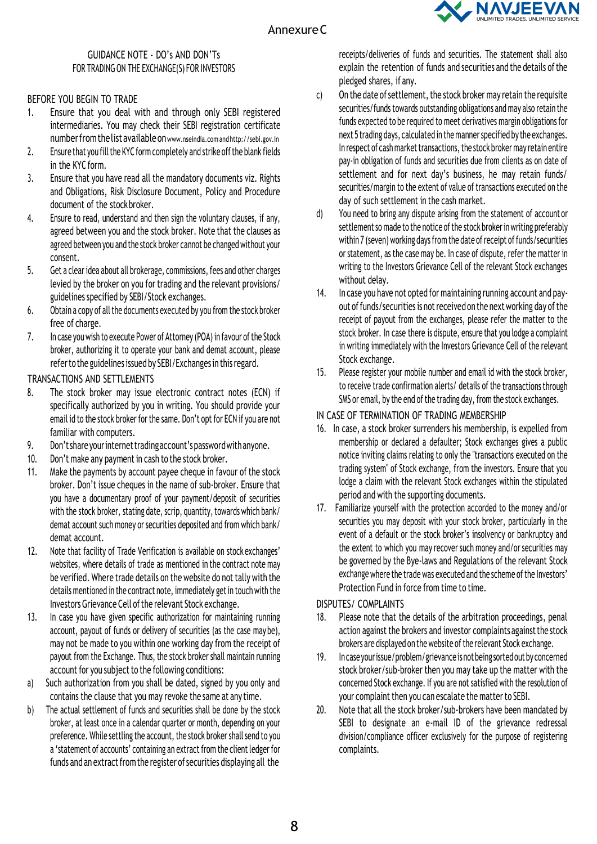

## GUIDANCE NOTE - DO's AND DON'Ts FOR TRADING ON THE EXCHANGE(S) FOR INVESTORS

# BEFORE YOU BEGIN TO TRADE

- 1. Ensure that you deal with and through only SEBI registered intermediaries. You may check their SEBI registration certificate numberfromthelistavailableon [www.nseindia.com](http://www.nseindia.com/) an[dhttp://sebi.gov.in](http://sebi.gov.in/)
- 2. Ensure that you fill the KYC form completely and strike off the blank fields in the KYC form.
- 3. Ensure that you have read all the mandatory documents viz. Rights and Obligations, Risk Disclosure Document, Policy and Procedure document of the stockbroker.
- 4. Ensure to read, understand and then sign the voluntary clauses, if any, agreed between you and the stock broker. Note that the clauses as agreed between you and the stock broker cannot be changed without your consent.
- 5. Get a clear idea about all brokerage, commissions, fees and other charges levied by the broker on you for trading and the relevant provisions/ guidelines specified by SEBI/Stock exchanges.
- 6. Obtain a copy of all the documents executed by you from the stock broker free of charge.
- 7. In case you wish to execute Power of Attorney (POA) in favour of the Stock broker, authorizing it to operate your bank and demat account, please refer to the guidelines issued by SEBI/Exchanges in this regard.

# TRANSACTIONS AND SETTLEMENTS

- 8. The stock broker may issue electronic contract notes (ECN) if specifically authorized by you in writing. You should provide your email id to the stock broker for the same. Don't opt for ECN if you are not familiar with computers.
- 9. Don't share your internet trading account's password with anyone.
- 10. Don't make any payment in cash to the stock broker.
- 11. Make the payments by account payee cheque in favour of the stock broker. Don't issue cheques in the name of sub-broker. Ensure that you have a documentary proof of your payment/deposit of securities with the stock broker, stating date, scrip, quantity, towards which bank/ demat account such money or securities deposited and from which bank/ demat account.
- 12. Note that facility of Trade Verification is available on stock exchanges' websites, where details of trade as mentioned in the contract note may be verified. Where trade details on the website do not tally with the details mentioned in the contract note, immediately get in touch with the Investors Grievance Cell of the relevant Stock exchange.
- 13. In case you have given specific authorization for maintaining running account, payout of funds or delivery of securities (as the case may be), may not be made to you within one working day from the receipt of payout from the Exchange. Thus, the stock broker shall maintain running account for you subject to the following conditions:
- a) Such authorization from you shall be dated, signed by you only and contains the clause that you may revoke the same at any time.
- b) The actual settlement of funds and securities shall be done by the stock broker, at least once in a calendar quarter or month, depending on your preference. While settling the account, the stock broker shall send to you a 'statement of accounts' containing an extract from the client ledger for funds and an extract from the register of securities displaying all the

receipts/deliveries of funds and securities. The statement shall also explain the retention of funds and securities and the details of the pledged shares, if any.

- c) On the date of settlement, the stock broker may retain the requisite securities/funds towards outstanding obligations and may also retain the funds expected to be required to meet derivatives margin obligations for next 5 trading days, calculated in the manner specified by the exchanges. In respect of cash market transactions, the stock broker may retain entire pay-in obligation of funds and securities due from clients as on date of settlement and for next day's business, he may retain funds/ securities/margin to the extent of value of transactions executed on the day of such settlement in the cash market.
- d) You need to bring any dispute arising from the statement of account or settlement so made to the notice of the stock broker in writing preferably within 7 (seven) working days from the date of receipt of funds/securities or statement, as the case may be. In case of dispute, refer the matter in writing to the Investors Grievance Cell of the relevant Stock exchanges without delay.
- 14. In case you have not opted for maintaining running account and payout of funds/securities is not received on the next working day of the receipt of payout from the exchanges, please refer the matter to the stock broker. In case there is dispute, ensure that you lodge a complaint in writing immediately with the Investors Grievance Cell of the relevant Stock exchange.
- 15. Please register your mobile number and email id with the stock broker, to receive trade confirmation alerts/ details of the transactions through SMS or email, by the end of the trading day, from the stock exchanges.

# IN CASE OF TERMINATION OF TRADING MEMBERSHIP

- 16. In case, a stock broker surrenders his membership, is expelled from membership or declared a defaulter; Stock exchanges gives a public notice inviting claims relating to only the "transactions executed on the trading system" of Stock exchange, from the investors. Ensure that you lodge a claim with the relevant Stock exchanges within the stipulated period and with the supporting documents.
- 17. Familiarize yourself with the protection accorded to the money and/or securities you may deposit with your stock broker, particularly in the event of a default or the stock broker's insolvency or bankruptcy and the extent to which you may recover such money and/or securities may be governed by the Bye-laws and Regulations of the relevant Stock exchange where the trade was executed and the scheme of the Investors' Protection Fund in force from time to time.

# DISPUTES/ COMPLAINTS

- 18. Please note that the details of the arbitration proceedings, penal action against the brokers and investor complaints against the stock brokers are displayed on the website of the relevant Stock exchange.
- 19. Incase your issue/problem/grievance is not being sorted out by concerned stock broker/sub-broker then you may take up the matter with the concerned Stock exchange. If you are not satisfied with the resolution of your complaint then you can escalate the matter to SEBI.
- 20. Note that all the stock broker/sub-brokers have been mandated by SEBI to designate an e-mail ID of the grievance redressal division/compliance officer exclusively for the purpose of registering complaints.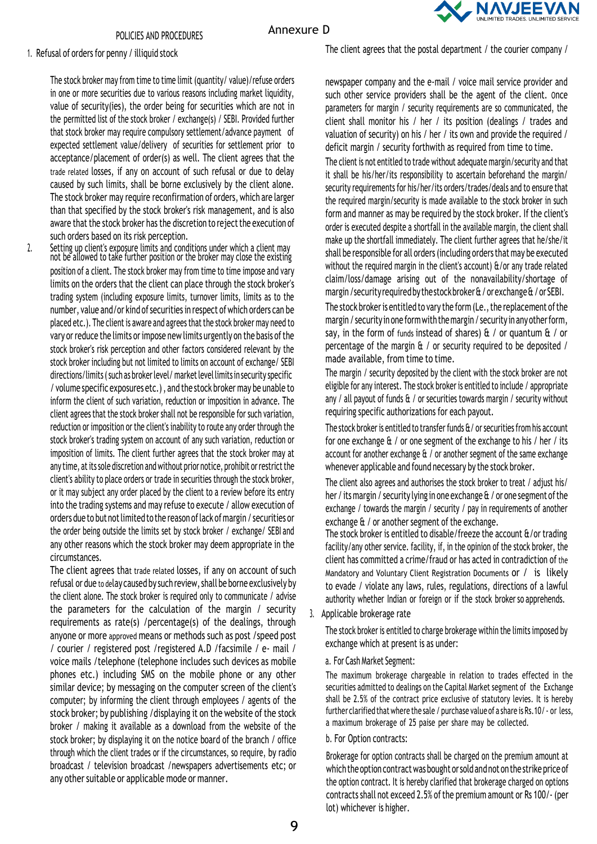

#### 1. Refusal of orders for penny / illiquid stock

The stock broker may from time to time limit (quantity/ value)/refuse orders in one or more securities due to various reasons including market liquidity, value of security(ies), the order being for securities which are not in the permitted list of the stock broker / exchange(s) / SEBI. Provided further that stock broker may require compulsory settlement/advance payment of expected settlement value/delivery of securities for settlement prior to acceptance/placement of order(s) as well. The client agrees that the trade related losses, if any on account of such refusal or due to delay caused by such limits, shall be borne exclusively by the client alone. The stock broker may require reconfirmation of orders, which are larger than that specified by the stock broker's risk management, and is also aware that the stock broker has the discretion to reject the execution of such orders based on its risk perception.

POLICIES AND PROCEDURES

2. Setting up client's exposure limits and conditions under which a client may not be allowed to take further position or the broker may close the existing position of a client. The stock broker may from time to time impose and vary limits on the orders that the client can place through the stock broker's trading system (including exposure limits, turnover limits, limits as to the number, value and/or kind of securities in respect of which orders can be placed etc.). The client is aware and agrees that the stock broker may need to vary or reduce the limits or impose new limits urgently on the basis of the stock broker's risk perception and other factors considered relevant by the stock broker including but not limited to limits on account of exchange/ SEBI directions/limits (such as broker level/ market level limits in security specific / volume specific exposures etc.), and the stock broker may be unable to inform the client of such variation, reduction or imposition in advance. The client agrees that the stock broker shall not be responsible for such variation, reduction or imposition or the client's inability to route any order through the stock broker's trading system on account of any such variation, reduction or imposition of limits. The client further agrees that the stock broker may at any time, at its sole discretion and without prior notice, prohibit or restrict the client's ability to place orders or trade in securities through the stock broker, or it may subject any order placed by the client to a review before its entry into the trading systems and may refuse to execute / allow execution of orders due to but not limited to the reason of lack of margin / securities or the order being outside the limits set by stock broker / exchange/ SEBI and any other reasons which the stock broker may deem appropriate in the circumstances.

The client agrees that trade related losses, if any on account of such refusal or due to delay caused by such review, shall be borne exclusively by the client alone. The stock broker is required only to communicate / advise the parameters for the calculation of the margin / security requirements as rate(s) /percentage(s) of the dealings, through anyone or more approved means or methods such as post /speed post / courier / registered post /registered A.D /facsimile / e- mail / voice mails /telephone (telephone includes such devices as mobile phones etc.) including SMS on the mobile phone or any other similar device; by messaging on the computer screen of the client's computer; by informing the client through employees / agents of the stock broker; by publishing /displaying it on the website of the stock broker / making it available as a download from the website of the stock broker; by displaying it on the notice board of the branch / office through which the client trades or if the circumstances, so require, by radio broadcast / television broadcast /newspapers advertisements etc; or any other suitable or applicable mode or manner.

The client agrees that the postal department / the courier company /

newspaper company and the e-mail / voice mail service provider and such other service providers shall be the agent of the client. Once parameters for margin / security requirements are so communicated, the client shall monitor his / her / its position (dealings / trades and valuation of security) on his / her / its own and provide the required / deficit margin / security forthwith as required from time to time.

The client is not entitled to trade without adequate margin/security and that it shall be his/her/its responsibility to ascertain beforehand the margin/ security requirements for his/her/its orders/trades/deals and to ensure that the required margin/security is made available to the stock broker in such form and manner as may be required by the stock broker. If the client's order is executed despite a shortfall in the available margin, the client shall make up the shortfall immediately. The client further agrees that he/she/it shall be responsible for all orders (including orders that may be executed without the required margin in the client's account)  $\frac{d}{dr}$  or any trade related claim/loss/damage arising out of the nonavailability/shortage of margin/securityrequiredbythestockbroker&/orexchange&/or SEBI.

The stock broker is entitled to vary the form (Le., the replacement of the margin / security in one form with the margin / security in any other form, say, in the form of funds instead of shares)  $\frac{a}{b}$  / or quantum  $\frac{a}{b}$  / or percentage of the margin & / or security required to be deposited / made available, from time to time.

The margin / security deposited by the client with the stock broker are not eligible for any interest. The stock broker is entitled to include / appropriate any / all payout of funds & / or securities towards margin / security without requiring specific authorizations for each payout.

The stock broker is entitled to transfer funds  $\frac{a}{b}$  or securities from his account for one exchange & / or one segment of the exchange to his / her / its account for another exchange & / or another segment of the same exchange whenever applicable and found necessary by the stock broker.

The client also agrees and authorises the stock broker to treat / adjust his/ her / its margin / security lying in one exchange & / or one segment of the exchange / towards the margin / security / pay in requirements of another exchange & / or another segment of the exchange.

The stock broker is entitled to disable/freeze the account  $\hat{a}$ /or trading facility/any other service. facility, if, in the opinion of the stock broker, the client has committed a crime/fraud or has acted in contradiction of the Mandatory and Voluntary Client Registration Documents or / is likely to evade / violate any laws, rules, regulations, directions of a lawful authority whether Indian or foreign or if the stock broker so apprehends.

3. Applicable brokerage rate

The stock broker is entitled to charge brokerage within the limits imposed by exchange which at present is as under:

#### a. For Cash Market Segment:

The maximum brokerage chargeable in relation to trades effected in the securities admitted to dealings on the Capital Market segment of the Exchange shall be 2.5% of the contract price exclusive of statutory levies. It is hereby further clarified that where the sale / purchase value of a share is Rs.10/ - or less, a maximum brokerage of 25 paise per share may be collected.

#### b. For Option contracts:

Brokerage for option contracts shall be charged on the premium amount at which the option contract was bought or sold and not on the strike price of the option contract. It is hereby clarified that brokerage charged on options contracts shall not exceed 2.5% of the premium amount or Rs 100/- (per lot) whichever is higher.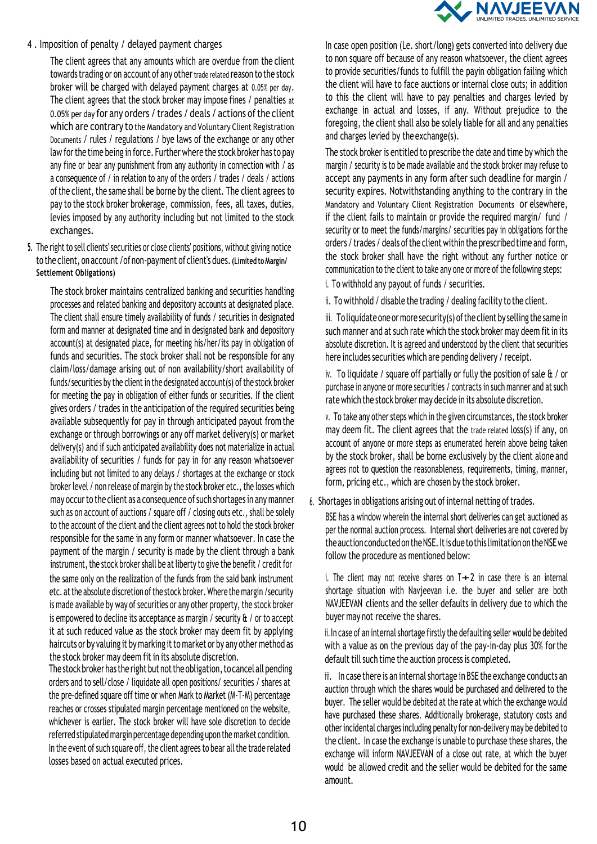

#### 4 . Imposition of penalty / delayed payment charges

The client agrees that any amounts which are overdue from the client towards trading or on account of any other trade related reason to the stock broker will be charged with delayed payment charges at 0.05% per day. The client agrees that the stock broker may impose fines / penalties at 0.05% per day for any orders / trades / deals / actions of the client which are contrary to the Mandatory and Voluntary Client Registration Documents / rules / regulations / bye laws of the exchange or any other law forthe time being in force. Further where the stock broker has to pay any fine or bear any punishment from any authority in connection with / as a consequence of / in relation to any of the orders / trades / deals / actions of the client, the same shall be borne by the client. The client agrees to pay to the stock broker brokerage, commission, fees, all taxes, duties, levies imposed by any authority including but not limited to the stock exchanges.

**5.** The right to sell clients' securities or close clients' positions, without giving notice to the client, on account /of non-payment of client's dues.**(Limited to Margin/ Settlement Obligations)**

The stock broker maintains centralized banking and securities handling processes and related banking and depository accounts at designated place. The client shall ensure timely availability of funds / securities in designated form and manner at designated time and in designated bank and depository account(s) at designated place, for meeting his/her/its pay in obligation of funds and securities. The stock broker shall not be responsible for any claim/loss/damage arising out of non availability/short availability of funds/securities by the client in the designated account(s) of the stock broker for meeting the pay in obligation of either funds or securities. If the client gives orders / trades in the anticipation of the required securities being available subsequently for pay in through anticipated payout from the exchange or through borrowings or any off market delivery(s) or market delivery(s) and if such anticipated availability does not materialize in actual availability of securities / funds for pay in for any reason whatsoever including but not limited to any delays / shortages at the exchange or stock broker level / non release of margin by the stock broker etc., the losses which may occurto the client as a consequence of such shortages in any manner such as on account of auctions / square off / closing outs etc., shall be solely to the account of the client and the client agrees not to hold the stock broker responsible for the same in any form or manner whatsoever. In case the payment of the margin / security is made by the client through a bank instrument, the stock broker shall be at liberty to give the benefit / credit for the same only on the realization of the funds from the said bank instrument etc. at the absolute discretion of the stock broker. Where the margin / security is made available by way of securities or any other property, the stock broker is empowered to decline its acceptance as margin / security & / or to accept it at such reduced value as the stock broker may deem fit by applying haircuts or by valuing it by marking it to market or by any other method as the stock broker may deem fit in its absolute discretion.

The stock broker has the right but not the obligation, to cancel all pending orders and to sell/close / liquidate all open positions/ securities / shares at the pre-defined square off time or when Mark to Market (M-T-M) percentage reaches or crosses stipulated margin percentage mentioned on the website, whichever is earlier. The stock broker will have sole discretion to decide referred stipulated margin percentage depending upon the market condition. In the event of such square off, the client agrees to bear all the trade related losses based on actual executed prices.

In case open position (Le. short/long) gets converted into delivery due to non square off because of any reason whatsoever, the client agrees to provide securities/funds to fulfill the payin obligation failing which the client will have to face auctions or internal close outs; in addition to this the client will have to pay penalties and charges levied by exchange in actual and losses, if any. Without prejudice to the foregoing, the client shall also be solely liable for all and any penalties and charges levied by the exchange(s).

The stock broker is entitled to prescribe the date and time by which the margin / security is to be made available and the stock broker may refuse to accept any payments in any form after such deadline for margin / security expires. Notwithstanding anything to the contrary in the Mandatory and Voluntary Client Registration Documents or elsewhere, if the client fails to maintain or provide the required margin/ fund / security or to meet the funds/margins/ securities pay in obligations forthe orders / trades / deals of the client within the prescribed time and form, the stock broker shall have the right without any further notice or communication to the client to take any one or more of the following steps:

i. To withhold any payout of funds / securities.

ii. To withhold / disable the trading / dealing facility to the client.

iii. To liquidate one or more security(s) of the client by selling the same in such manner and at such rate which the stock broker may deem fit in its absolute discretion. It is agreed and understood by the client that securities here includes securities which are pending delivery / receipt.

iv. To liquidate / square off partially or fully the position of sale & / or purchase in anyone or more securities / contracts in such manner and at such rate which the stock broker may decide in its absolute discretion.

v. To take any other steps which in the given circumstances, the stock broker may deem fit. The client agrees that the trade related loss(s) if any, on account of anyone or more steps as enumerated herein above being taken by the stock broker, shall be borne exclusively by the client alone and agrees not to question the reasonableness, requirements, timing, manner, form, pricing etc., which are chosen by the stock broker.

6. Shortages in obligations arising out of internal netting of trades.

BSE has a window wherein the internal short deliveries can get auctioned as per the normal auction process. Internal short deliveries are not covered by theauctionconductedontheNSE.Itisduetothis limitation ontheNSEwe follow the procedure as mentioned below:

i. The client may not receive shares on  $T+2$  in case there is an internal shortage situation with Navjeevan i.e. the buyer and seller are both NAVJEEVAN clients and the seller defaults in delivery due to which the buyer may not receive the shares.

ii.In case of an internal shortage firstly the defaulting seller would be debited with a value as on the previous day of the pay-in-day plus 30% forthe default till such time the auction process is completed.

iii. In case there is an internal shortage in BSE the exchange conducts an auction through which the shares would be purchased and delivered to the buyer. The seller would be debited at the rate at which the exchange would have purchased these shares. Additionally brokerage, statutory costs and other incidental charges including penalty for non-delivery may be debited to the client. In case the exchange is unable to purchase these shares, the exchange will inform NAVJEEVAN of a close out rate, at which the buyer would be allowed credit and the seller would be debited for the same amount.